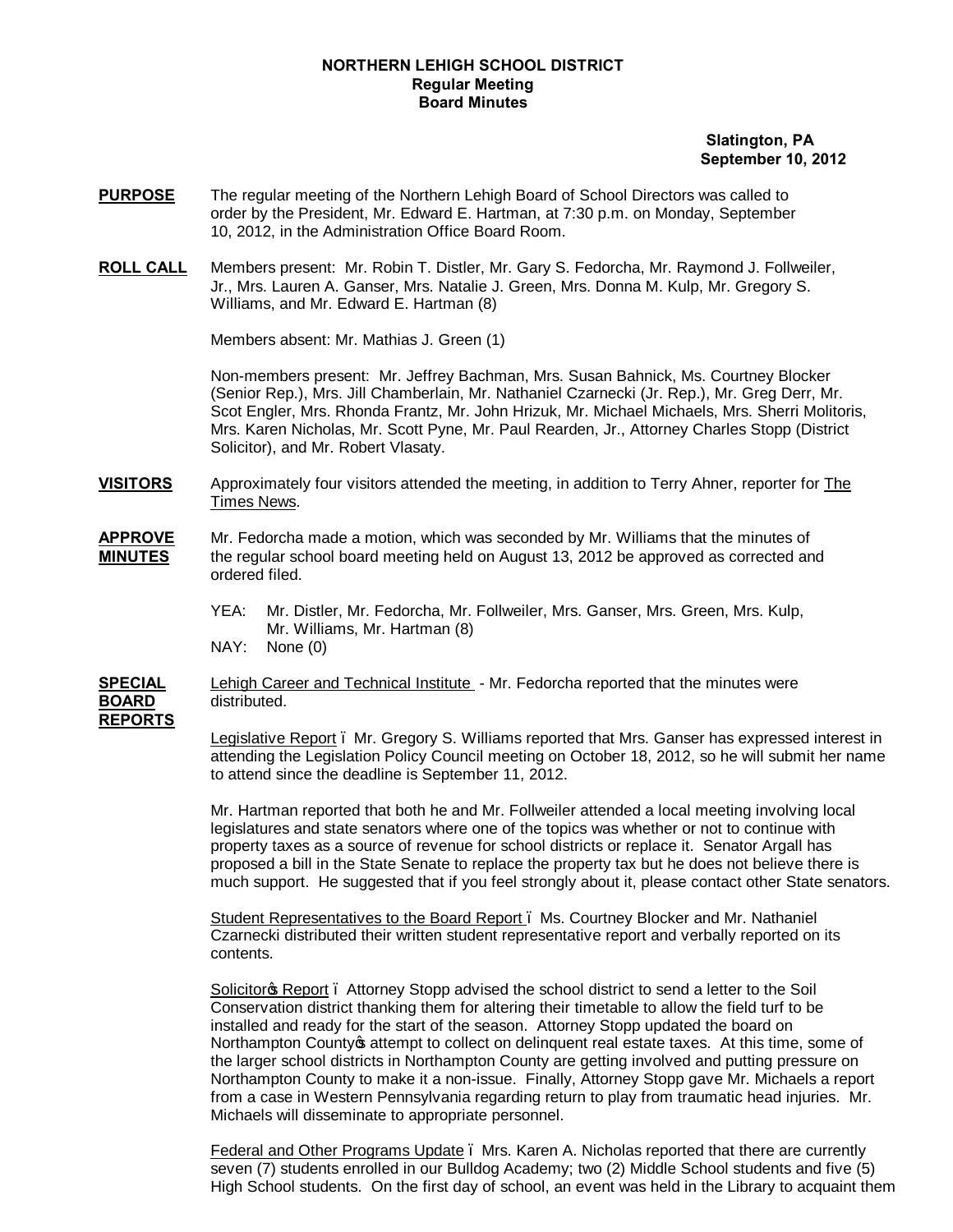# **NORTHERN LEHIGH SCHOOL DISTRICT Regular Meeting Board Minutes**

# **Slatington, PA September 10, 2012**

- **PURPOSE** The regular meeting of the Northern Lehigh Board of School Directors was called to order by the President, Mr. Edward E. Hartman, at 7:30 p.m. on Monday, September 10, 2012, in the Administration Office Board Room.
- **ROLL CALL** Members present: Mr. Robin T. Distler, Mr. Gary S. Fedorcha, Mr. Raymond J. Follweiler, Jr., Mrs. Lauren A. Ganser, Mrs. Natalie J. Green, Mrs. Donna M. Kulp, Mr. Gregory S. Williams, and Mr. Edward E. Hartman (8)

Members absent: Mr. Mathias J. Green (1)

Non-members present: Mr. Jeffrey Bachman, Mrs. Susan Bahnick, Ms. Courtney Blocker (Senior Rep.), Mrs. Jill Chamberlain, Mr. Nathaniel Czarnecki (Jr. Rep.), Mr. Greg Derr, Mr. Scot Engler, Mrs. Rhonda Frantz, Mr. John Hrizuk, Mr. Michael Michaels, Mrs. Sherri Molitoris, Mrs. Karen Nicholas, Mr. Scott Pyne, Mr. Paul Rearden, Jr., Attorney Charles Stopp (District Solicitor), and Mr. Robert Vlasaty.

**VISITORS** Approximately four visitors attended the meeting, in addition to Terry Ahner, reporter for The Times News.

- **APPROVE** Mr. Fedorcha made a motion, which was seconded by Mr. Williams that the minutes of **MINUTES** the regular school board meeting held on August 13, 2012 be approved as corrected and ordered filed.
	- YEA: Mr. Distler, Mr. Fedorcha, Mr. Follweiler, Mrs. Ganser, Mrs. Green, Mrs. Kulp, Mr. Williams, Mr. Hartman (8)
	- NAY: None (0)

**SPECIAL** Lehigh Career and Technical Institute - Mr. Fedorcha reported that the minutes were **BOARD** distributed. **REPORTS**

> Legislative Report – Mr. Gregory S. Williams reported that Mrs. Ganser has expressed interest in attending the Legislation Policy Council meeting on October 18, 2012, so he will submit her name to attend since the deadline is September 11, 2012.

> Mr. Hartman reported that both he and Mr. Follweiler attended a local meeting involving local legislatures and state senators where one of the topics was whether or not to continue with property taxes as a source of revenue for school districts or replace it. Senator Argall has proposed a bill in the State Senate to replace the property tax but he does not believe there is much support. He suggested that if you feel strongly about it, please contact other State senators.

Student Representatives to the Board Report – Ms. Courtney Blocker and Mr. Nathaniel Czarnecki distributed their written student representative report and verbally reported on its contents.

Solicitor<sub>®</sub> Report – Attorney Stopp advised the school district to send a letter to the Soil Conservation district thanking them for altering their timetable to allow the field turf to be installed and ready for the start of the season. Attorney Stopp updated the board on Northampton County of attempt to collect on delinguent real estate taxes. At this time, some of the larger school districts in Northampton County are getting involved and putting pressure on Northampton County to make it a non-issue. Finally, Attorney Stopp gave Mr. Michaels a report from a case in Western Pennsylvania regarding return to play from traumatic head injuries. Mr. Michaels will disseminate to appropriate personnel.

Federal and Other Programs Update – Mrs. Karen A. Nicholas reported that there are currently seven (7) students enrolled in our Bulldog Academy; two (2) Middle School students and five (5) High School students. On the first day of school, an event was held in the Library to acquaint them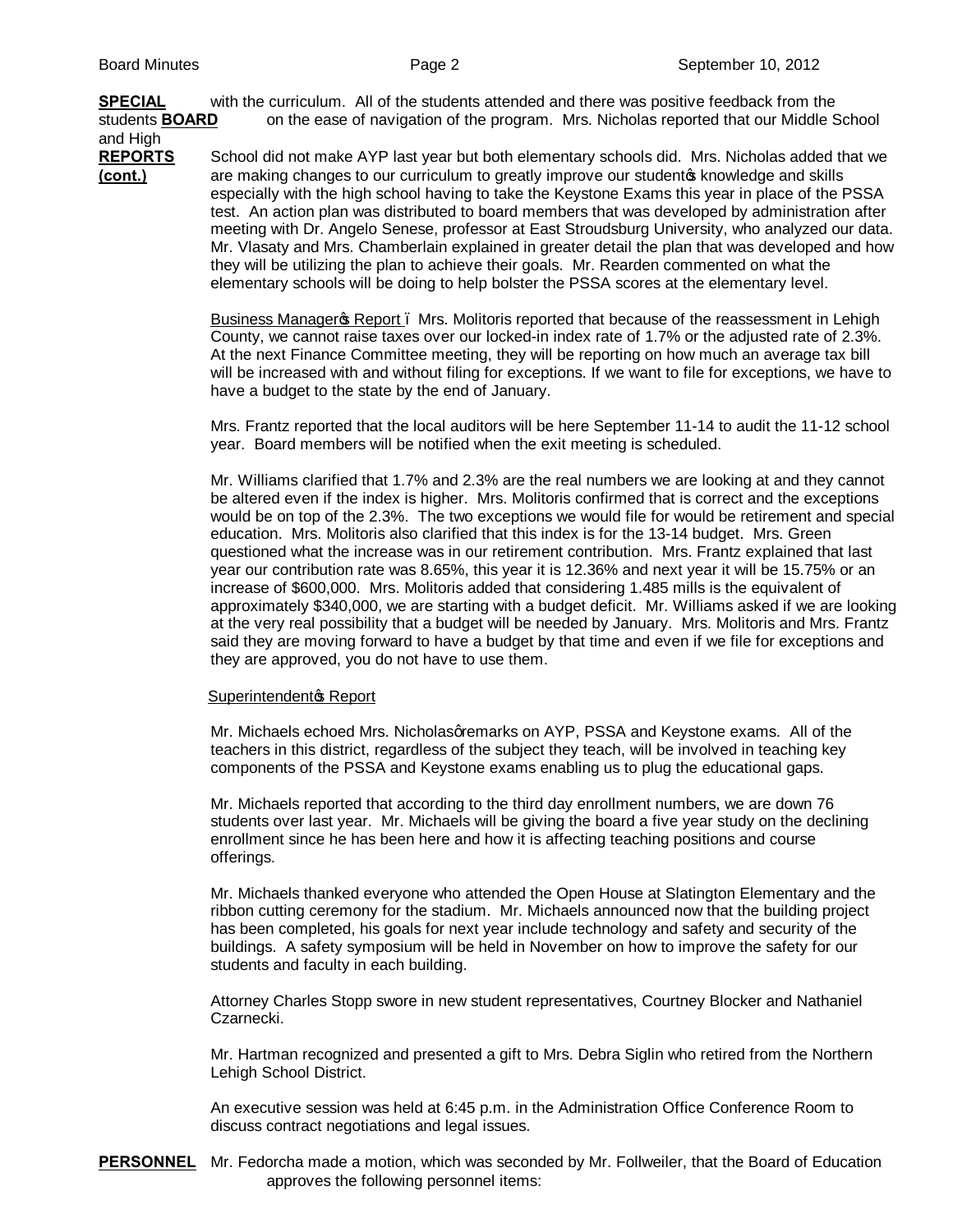**SPECIAL** with the curriculum. All of the students attended and there was positive feedback from the students **BOARD** on the ease of navigation of the program. Mrs. Nicholas reported that our Middle School and High

**REPORTS** School did not make AYP last year but both elementary schools did. Mrs. Nicholas added that we **(cont.)** are making changes to our curriculum to greatly improve our studento knowledge and skills especially with the high school having to take the Keystone Exams this year in place of the PSSA test. An action plan was distributed to board members that was developed by administration after meeting with Dr. Angelo Senese, professor at East Stroudsburg University, who analyzed our data. Mr. Vlasaty and Mrs. Chamberlain explained in greater detail the plan that was developed and how they will be utilizing the plan to achieve their goals. Mr. Rearden commented on what the elementary schools will be doing to help bolster the PSSA scores at the elementary level.

> Business Manager & Report . Mrs. Molitoris reported that because of the reassessment in Lehigh County, we cannot raise taxes over our locked-in index rate of 1.7% or the adjusted rate of 2.3%. At the next Finance Committee meeting, they will be reporting on how much an average tax bill will be increased with and without filing for exceptions. If we want to file for exceptions, we have to have a budget to the state by the end of January.

> Mrs. Frantz reported that the local auditors will be here September 11-14 to audit the 11-12 school year. Board members will be notified when the exit meeting is scheduled.

> Mr. Williams clarified that 1.7% and 2.3% are the real numbers we are looking at and they cannot be altered even if the index is higher. Mrs. Molitoris confirmed that is correct and the exceptions would be on top of the 2.3%. The two exceptions we would file for would be retirement and special education. Mrs. Molitoris also clarified that this index is for the 13-14 budget. Mrs. Green questioned what the increase was in our retirement contribution. Mrs. Frantz explained that last year our contribution rate was 8.65%, this year it is 12.36% and next year it will be 15.75% or an increase of \$600,000. Mrs. Molitoris added that considering 1.485 mills is the equivalent of approximately \$340,000, we are starting with a budget deficit. Mr. Williams asked if we are looking at the very real possibility that a budget will be needed by January. Mrs. Molitoris and Mrs. Frantz said they are moving forward to have a budget by that time and even if we file for exceptions and they are approved, you do not have to use them.

### Superintendent<sup>®</sup> Report

Mr. Michaels echoed Mrs. Nicholasqremarks on AYP, PSSA and Keystone exams. All of the teachers in this district, regardless of the subject they teach, will be involved in teaching key components of the PSSA and Keystone exams enabling us to plug the educational gaps.

Mr. Michaels reported that according to the third day enrollment numbers, we are down 76 students over last year. Mr. Michaels will be giving the board a five year study on the declining enrollment since he has been here and how it is affecting teaching positions and course offerings.

Mr. Michaels thanked everyone who attended the Open House at Slatington Elementary and the ribbon cutting ceremony for the stadium. Mr. Michaels announced now that the building project has been completed, his goals for next year include technology and safety and security of the buildings. A safety symposium will be held in November on how to improve the safety for our students and faculty in each building.

Attorney Charles Stopp swore in new student representatives, Courtney Blocker and Nathaniel Czarnecki.

Mr. Hartman recognized and presented a gift to Mrs. Debra Siglin who retired from the Northern Lehigh School District.

An executive session was held at 6:45 p.m. in the Administration Office Conference Room to discuss contract negotiations and legal issues.

**PERSONNEL** Mr. Fedorcha made a motion, which was seconded by Mr. Follweiler, that the Board of Education approves the following personnel items: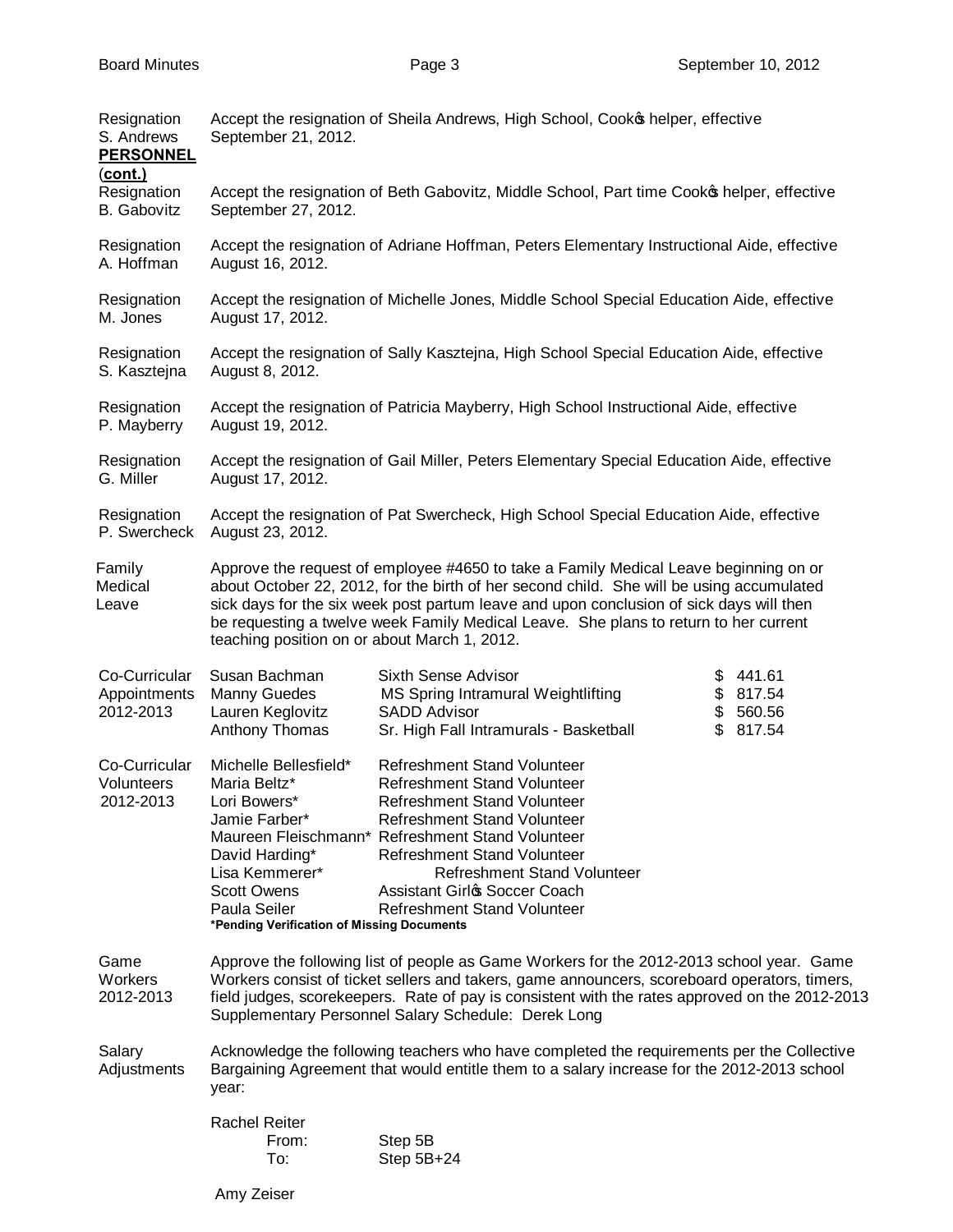| Resignation<br>S. Andrews<br><b>PERSONNEL</b><br>$(cont.)$ | September 21, 2012.                                                                                                                                                                                                                                                                                                                               | Accept the resignation of Sheila Andrews, High School, Cooko helper, effective                                                                                                                                                                                                                                                                                      |                                                              |
|------------------------------------------------------------|---------------------------------------------------------------------------------------------------------------------------------------------------------------------------------------------------------------------------------------------------------------------------------------------------------------------------------------------------|---------------------------------------------------------------------------------------------------------------------------------------------------------------------------------------------------------------------------------------------------------------------------------------------------------------------------------------------------------------------|--------------------------------------------------------------|
| Resignation<br><b>B.</b> Gabovitz                          | September 27, 2012.                                                                                                                                                                                                                                                                                                                               | Accept the resignation of Beth Gabovitz, Middle School, Part time Cooko helper, effective                                                                                                                                                                                                                                                                           |                                                              |
| Resignation<br>A. Hoffman                                  | August 16, 2012.                                                                                                                                                                                                                                                                                                                                  | Accept the resignation of Adriane Hoffman, Peters Elementary Instructional Aide, effective                                                                                                                                                                                                                                                                          |                                                              |
| Resignation<br>M. Jones                                    | August 17, 2012.                                                                                                                                                                                                                                                                                                                                  | Accept the resignation of Michelle Jones, Middle School Special Education Aide, effective                                                                                                                                                                                                                                                                           |                                                              |
| Resignation<br>S. Kasztejna                                | August 8, 2012.                                                                                                                                                                                                                                                                                                                                   | Accept the resignation of Sally Kasztejna, High School Special Education Aide, effective                                                                                                                                                                                                                                                                            |                                                              |
| Resignation<br>P. Mayberry                                 | August 19, 2012.                                                                                                                                                                                                                                                                                                                                  | Accept the resignation of Patricia Mayberry, High School Instructional Aide, effective                                                                                                                                                                                                                                                                              |                                                              |
| Resignation<br>G. Miller                                   | August 17, 2012.                                                                                                                                                                                                                                                                                                                                  | Accept the resignation of Gail Miller, Peters Elementary Special Education Aide, effective                                                                                                                                                                                                                                                                          |                                                              |
| Resignation<br>P. Swercheck                                | August 23, 2012.                                                                                                                                                                                                                                                                                                                                  | Accept the resignation of Pat Swercheck, High School Special Education Aide, effective                                                                                                                                                                                                                                                                              |                                                              |
| Family<br>Medical<br>Leave                                 | teaching position on or about March 1, 2012.                                                                                                                                                                                                                                                                                                      | Approve the request of employee #4650 to take a Family Medical Leave beginning on or<br>about October 22, 2012, for the birth of her second child. She will be using accumulated<br>sick days for the six week post partum leave and upon conclusion of sick days will then<br>be requesting a twelve week Family Medical Leave. She plans to return to her current |                                                              |
| Co-Curricular<br>Appointments<br>2012-2013                 | Susan Bachman<br>Manny Guedes<br>Lauren Keglovitz<br>Anthony Thomas                                                                                                                                                                                                                                                                               | Sixth Sense Advisor<br>MS Spring Intramural Weightlifting<br><b>SADD Advisor</b><br>Sr. High Fall Intramurals - Basketball                                                                                                                                                                                                                                          | 441.61<br>\$<br>\$<br>817.54<br>\$<br>560.56<br>\$<br>817.54 |
| Co-Curricular<br>Volunteers<br>2012-2013                   | Michelle Bellesfield*<br>Maria Beltz*<br>Lori Bowers*<br>Jamie Farber*<br>David Harding*<br>Lisa Kemmerer*<br><b>Scott Owens</b><br>Paula Seiler<br>*Pending Verification of Missing Documents                                                                                                                                                    | Refreshment Stand Volunteer<br><b>Refreshment Stand Volunteer</b><br><b>Refreshment Stand Volunteer</b><br>Refreshment Stand Volunteer<br>Maureen Fleischmann* Refreshment Stand Volunteer<br><b>Refreshment Stand Volunteer</b><br><b>Refreshment Stand Volunteer</b><br>Assistant Girlo Soccer Coach<br><b>Refreshment Stand Volunteer</b>                        |                                                              |
| Game<br>Workers<br>2012-2013                               | Approve the following list of people as Game Workers for the 2012-2013 school year. Game<br>Workers consist of ticket sellers and takers, game announcers, scoreboard operators, timers,<br>field judges, scorekeepers. Rate of pay is consistent with the rates approved on the 2012-2013<br>Supplementary Personnel Salary Schedule: Derek Long |                                                                                                                                                                                                                                                                                                                                                                     |                                                              |
| Salary<br>Adjustments                                      | Acknowledge the following teachers who have completed the requirements per the Collective<br>Bargaining Agreement that would entitle them to a salary increase for the 2012-2013 school<br>year:                                                                                                                                                  |                                                                                                                                                                                                                                                                                                                                                                     |                                                              |
|                                                            | <b>Rachel Reiter</b><br>From:<br>To:                                                                                                                                                                                                                                                                                                              | Step 5B<br>Step 5B+24                                                                                                                                                                                                                                                                                                                                               |                                                              |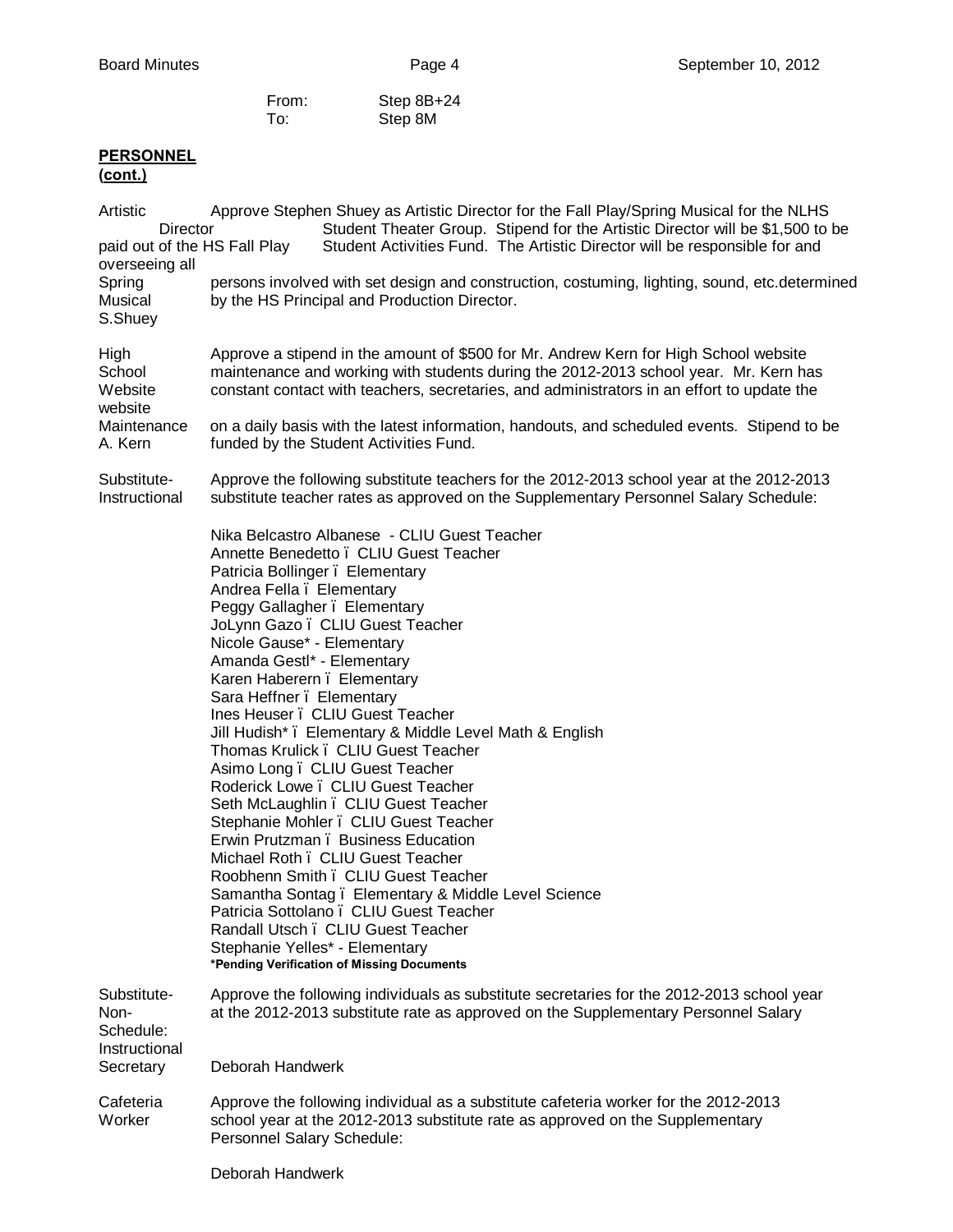| From: | Step 8B+24 |
|-------|------------|
| To:   | Step 8M    |

# **PERSONNEL**

| Artistic<br>Director<br>paid out of the HS Fall Play           | Approve Stephen Shuey as Artistic Director for the Fall Play/Spring Musical for the NLHS<br>Student Theater Group. Stipend for the Artistic Director will be \$1,500 to be<br>Student Activities Fund. The Artistic Director will be responsible for and                                                                                                                                                                                                                                                                                                                                                                                                                                                                                                                                                                                                                                                                                                                               |  |  |  |  |
|----------------------------------------------------------------|----------------------------------------------------------------------------------------------------------------------------------------------------------------------------------------------------------------------------------------------------------------------------------------------------------------------------------------------------------------------------------------------------------------------------------------------------------------------------------------------------------------------------------------------------------------------------------------------------------------------------------------------------------------------------------------------------------------------------------------------------------------------------------------------------------------------------------------------------------------------------------------------------------------------------------------------------------------------------------------|--|--|--|--|
| overseeing all<br>Spring<br>Musical<br>S.Shuey                 | persons involved with set design and construction, costuming, lighting, sound, etc.determined<br>by the HS Principal and Production Director.                                                                                                                                                                                                                                                                                                                                                                                                                                                                                                                                                                                                                                                                                                                                                                                                                                          |  |  |  |  |
| High<br>School<br>Website<br>website                           | Approve a stipend in the amount of \$500 for Mr. Andrew Kern for High School website<br>maintenance and working with students during the 2012-2013 school year. Mr. Kern has<br>constant contact with teachers, secretaries, and administrators in an effort to update the                                                                                                                                                                                                                                                                                                                                                                                                                                                                                                                                                                                                                                                                                                             |  |  |  |  |
| Maintenance<br>A. Kern                                         | on a daily basis with the latest information, handouts, and scheduled events. Stipend to be<br>funded by the Student Activities Fund.                                                                                                                                                                                                                                                                                                                                                                                                                                                                                                                                                                                                                                                                                                                                                                                                                                                  |  |  |  |  |
| Substitute-<br>Instructional                                   | Approve the following substitute teachers for the 2012-2013 school year at the 2012-2013<br>substitute teacher rates as approved on the Supplementary Personnel Salary Schedule:                                                                                                                                                                                                                                                                                                                                                                                                                                                                                                                                                                                                                                                                                                                                                                                                       |  |  |  |  |
|                                                                | Nika Belcastro Albanese - CLIU Guest Teacher<br>Annette Benedetto . CLIU Guest Teacher<br>Patricia Bollinger . Elementary<br>Andrea Fella . Elementary<br>Peggy Gallagher . Elementary<br>JoLynn Gazo. CLIU Guest Teacher<br>Nicole Gause* - Elementary<br>Amanda Gestl* - Elementary<br>Karen Haberern . Elementary<br>Sara Heffner . Elementary<br>Ines Heuser . CLIU Guest Teacher<br>Jill Hudish*. Elementary & Middle Level Math & English<br>Thomas Krulick . CLIU Guest Teacher<br>Asimo Long . CLIU Guest Teacher<br>Roderick Lowe. CLIU Guest Teacher<br>Seth McLaughlin . CLIU Guest Teacher<br>Stephanie Mohler . CLIU Guest Teacher<br>Erwin Prutzman. Business Education<br>Michael Roth . CLIU Guest Teacher<br>Roobhenn Smith . CLIU Guest Teacher<br>Samantha Sontag. Elementary & Middle Level Science<br>Patricia Sottolano. CLIU Guest Teacher<br>Randall Utsch. CLIU Guest Teacher<br>Stephanie Yelles* - Elementary<br>*Pending Verification of Missing Documents |  |  |  |  |
| Substitute-<br>Non-<br>Schedule:<br>Instructional<br>Secretary | Approve the following individuals as substitute secretaries for the 2012-2013 school year<br>at the 2012-2013 substitute rate as approved on the Supplementary Personnel Salary<br>Deborah Handwerk                                                                                                                                                                                                                                                                                                                                                                                                                                                                                                                                                                                                                                                                                                                                                                                    |  |  |  |  |
| Cafeteria<br>Worker                                            | Approve the following individual as a substitute cafeteria worker for the 2012-2013<br>school year at the 2012-2013 substitute rate as approved on the Supplementary<br>Personnel Salary Schedule:                                                                                                                                                                                                                                                                                                                                                                                                                                                                                                                                                                                                                                                                                                                                                                                     |  |  |  |  |
|                                                                | Deborah Handwerk                                                                                                                                                                                                                                                                                                                                                                                                                                                                                                                                                                                                                                                                                                                                                                                                                                                                                                                                                                       |  |  |  |  |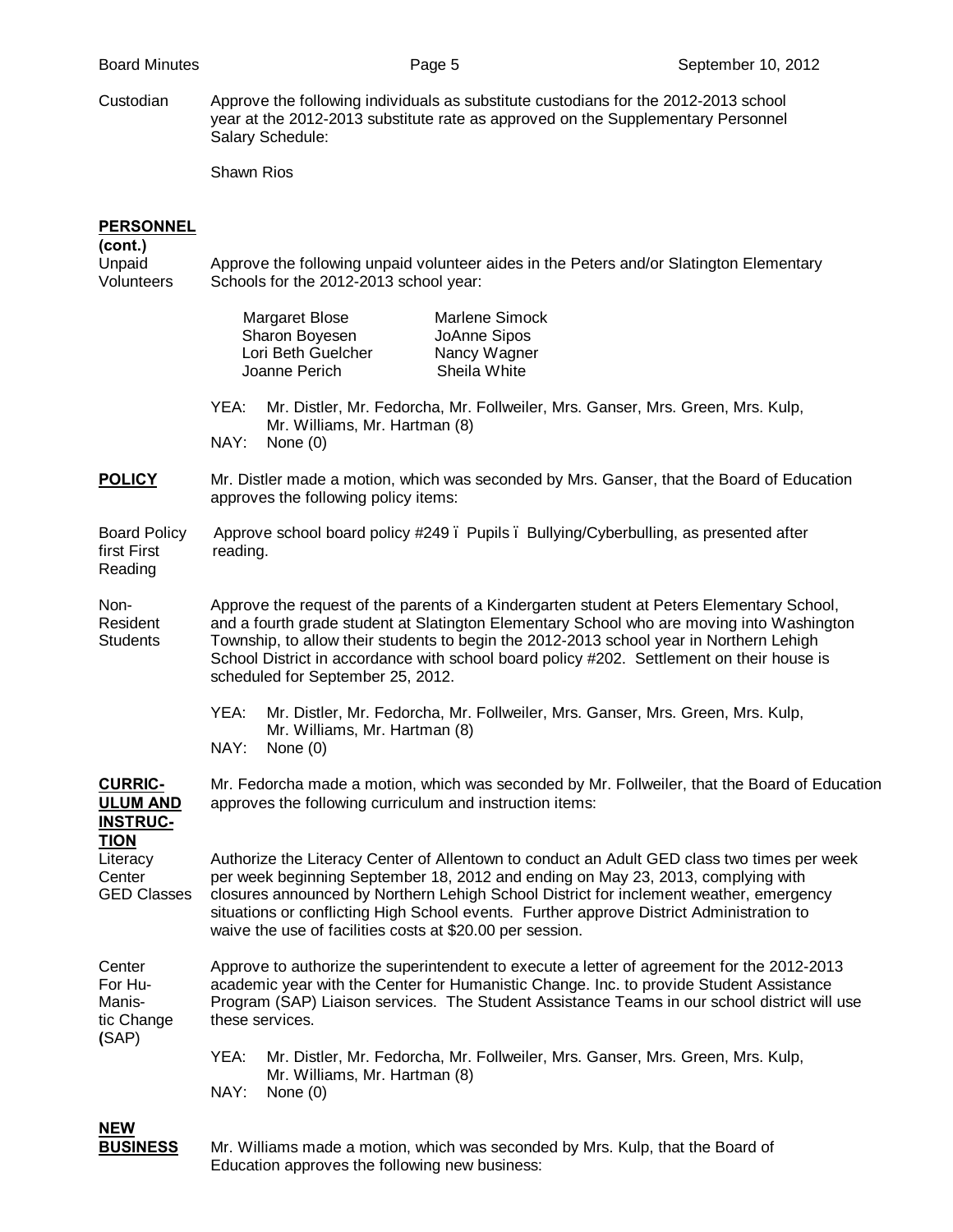Custodian Approve the following individuals as substitute custodians for the 2012-2013 school year at the 2012-2013 substitute rate as approved on the Supplementary Personnel Salary Schedule:

Shawn Rios

# **PERSONNEL**

**(cont.)**

| Unpaid<br>Volunteers                                 | Approve the following unpaid volunteer aides in the Peters and/or Slatington Elementary<br>Schools for the 2012-2013 school year:                                                                                                                                                                                                                                                                                   |  |  |
|------------------------------------------------------|---------------------------------------------------------------------------------------------------------------------------------------------------------------------------------------------------------------------------------------------------------------------------------------------------------------------------------------------------------------------------------------------------------------------|--|--|
|                                                      | Margaret Blose<br>Marlene Simock<br>Sharon Boyesen<br>JoAnne Sipos<br>Lori Beth Guelcher<br>Nancy Wagner<br>Sheila White<br>Joanne Perich                                                                                                                                                                                                                                                                           |  |  |
|                                                      | YEA:<br>Mr. Distler, Mr. Fedorcha, Mr. Follweiler, Mrs. Ganser, Mrs. Green, Mrs. Kulp,<br>Mr. Williams, Mr. Hartman (8)<br>NAY:<br>None $(0)$                                                                                                                                                                                                                                                                       |  |  |
| <b>POLICY</b>                                        | Mr. Distler made a motion, which was seconded by Mrs. Ganser, that the Board of Education<br>approves the following policy items:                                                                                                                                                                                                                                                                                   |  |  |
| <b>Board Policy</b><br>first First<br>Reading        | Approve school board policy #249. Pupils. Bullying/Cyberbulling, as presented after<br>reading.                                                                                                                                                                                                                                                                                                                     |  |  |
| Non-<br>Resident<br><b>Students</b>                  | Approve the request of the parents of a Kindergarten student at Peters Elementary School,<br>and a fourth grade student at Slatington Elementary School who are moving into Washington<br>Township, to allow their students to begin the 2012-2013 school year in Northern Lehigh<br>School District in accordance with school board policy #202. Settlement on their house is<br>scheduled for September 25, 2012. |  |  |
|                                                      | YEA:<br>Mr. Distler, Mr. Fedorcha, Mr. Follweiler, Mrs. Ganser, Mrs. Green, Mrs. Kulp,<br>Mr. Williams, Mr. Hartman (8)<br>NAY:<br>None $(0)$                                                                                                                                                                                                                                                                       |  |  |
| <b>CURRIC-</b><br><b>ULUM AND</b><br><b>INSTRUC-</b> | Mr. Fedorcha made a motion, which was seconded by Mr. Follweiler, that the Board of Education<br>approves the following curriculum and instruction items:                                                                                                                                                                                                                                                           |  |  |

**TION** Literacy Authorize the Literacy Center of Allentown to conduct an Adult GED class two times per week Center per week beginning September 18, 2012 and ending on May 23, 2013, complying with GED Classes closures announced by Northern Lehigh School District for inclement weather, emergency situations or conflicting High School events. Further approve District Administration to waive the use of facilities costs at \$20.00 per session.

Center Approve to authorize the superintendent to execute a letter of agreement for the 2012-2013<br>For Hu-<br>For Huacademic year with the Center for Humanistic Change. Inc. to provide Student Assistance Manis- Program (SAP) Liaison services. The Student Assistance Teams in our school district will use tic Change these services. **(**SAP)

> YEA: Mr. Distler, Mr. Fedorcha, Mr. Follweiler, Mrs. Ganser, Mrs. Green, Mrs. Kulp, Mr. Williams, Mr. Hartman (8) NAY: None (0)

**NEW**

**BUSINESS** Mr. Williams made a motion, which was seconded by Mrs. Kulp, that the Board of Education approves the following new business: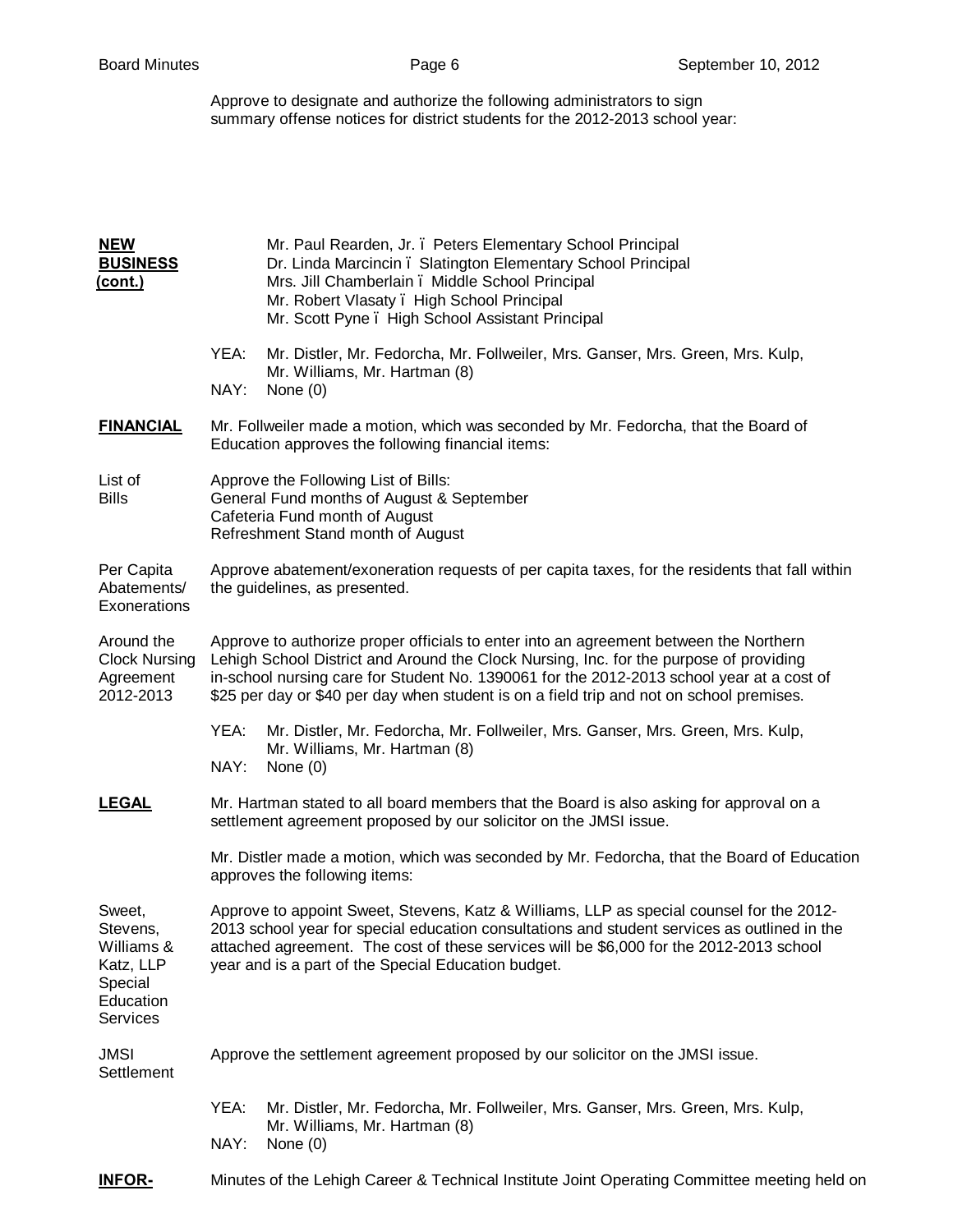Approve to designate and authorize the following administrators to sign summary offense notices for district students for the 2012-2013 school year:

| <b>NEW</b><br><b>BUSINESS</b><br><u>(cont.)</u>                                          | Mr. Paul Rearden, Jr. . Peters Elementary School Principal<br>Dr. Linda Marcincin . Slatington Elementary School Principal<br>Mrs. Jill Chamberlain. Middle School Principal<br>Mr. Robert Vlasaty . High School Principal<br>Mr. Scott Pyne . High School Assistant Principal                                                                                           |  |  |
|------------------------------------------------------------------------------------------|--------------------------------------------------------------------------------------------------------------------------------------------------------------------------------------------------------------------------------------------------------------------------------------------------------------------------------------------------------------------------|--|--|
|                                                                                          | YEA:<br>Mr. Distler, Mr. Fedorcha, Mr. Follweiler, Mrs. Ganser, Mrs. Green, Mrs. Kulp,<br>Mr. Williams, Mr. Hartman (8)<br>NAY:<br>None $(0)$                                                                                                                                                                                                                            |  |  |
| <b>FINANCIAL</b>                                                                         | Mr. Follweiler made a motion, which was seconded by Mr. Fedorcha, that the Board of<br>Education approves the following financial items:                                                                                                                                                                                                                                 |  |  |
| List of<br><b>Bills</b>                                                                  | Approve the Following List of Bills:<br>General Fund months of August & September<br>Cafeteria Fund month of August<br>Refreshment Stand month of August                                                                                                                                                                                                                 |  |  |
| Per Capita<br>Abatements/<br>Exonerations                                                | Approve abatement/exoneration requests of per capita taxes, for the residents that fall within<br>the guidelines, as presented.                                                                                                                                                                                                                                          |  |  |
| Around the<br><b>Clock Nursing</b><br>Agreement<br>2012-2013                             | Approve to authorize proper officials to enter into an agreement between the Northern<br>Lehigh School District and Around the Clock Nursing, Inc. for the purpose of providing<br>in-school nursing care for Student No. 1390061 for the 2012-2013 school year at a cost of<br>\$25 per day or \$40 per day when student is on a field trip and not on school premises. |  |  |
|                                                                                          | YEA:<br>Mr. Distler, Mr. Fedorcha, Mr. Follweiler, Mrs. Ganser, Mrs. Green, Mrs. Kulp,<br>Mr. Williams, Mr. Hartman (8)<br>NAY:<br>None $(0)$                                                                                                                                                                                                                            |  |  |
| <b>LEGAL</b>                                                                             | Mr. Hartman stated to all board members that the Board is also asking for approval on a<br>settlement agreement proposed by our solicitor on the JMSI issue.                                                                                                                                                                                                             |  |  |
|                                                                                          | Mr. Distler made a motion, which was seconded by Mr. Fedorcha, that the Board of Education<br>approves the following items:                                                                                                                                                                                                                                              |  |  |
| Sweet,<br>Stevens,<br>Williams &<br>Katz, LLP<br>Special<br>Education<br><b>Services</b> | Approve to appoint Sweet, Stevens, Katz & Williams, LLP as special counsel for the 2012-<br>2013 school year for special education consultations and student services as outlined in the<br>attached agreement. The cost of these services will be \$6,000 for the 2012-2013 school<br>year and is a part of the Special Education budget.                               |  |  |
| <b>JMSI</b><br>Settlement                                                                | Approve the settlement agreement proposed by our solicitor on the JMSI issue.                                                                                                                                                                                                                                                                                            |  |  |
|                                                                                          | YEA:<br>Mr. Distler, Mr. Fedorcha, Mr. Follweiler, Mrs. Ganser, Mrs. Green, Mrs. Kulp,<br>Mr. Williams, Mr. Hartman (8)<br>NAY:<br>None $(0)$                                                                                                                                                                                                                            |  |  |
| <b>INFOR-</b>                                                                            | Minutes of the Lehigh Career & Technical Institute Joint Operating Committee meeting held on                                                                                                                                                                                                                                                                             |  |  |